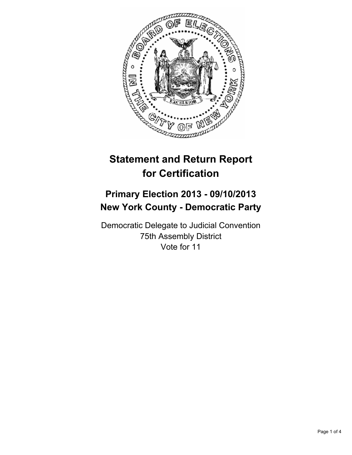

# **Statement and Return Report for Certification**

## **Primary Election 2013 - 09/10/2013 New York County - Democratic Party**

Democratic Delegate to Judicial Convention 75th Assembly District Vote for 11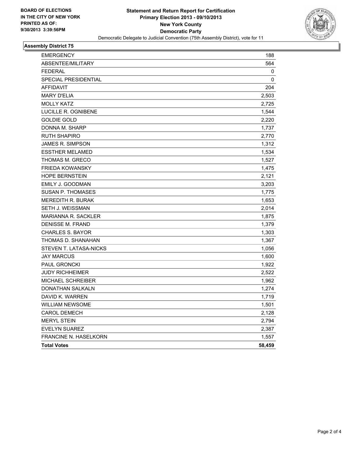

### **Assembly District 75**

| <b>EMERGENCY</b>           | 188    |
|----------------------------|--------|
| ABSENTEE/MILITARY          | 564    |
| <b>FEDERAL</b>             | 0      |
| SPECIAL PRESIDENTIAL       | 0      |
| <b>AFFIDAVIT</b>           | 204    |
| <b>MARY D'ELIA</b>         | 2,503  |
| <b>MOLLY KATZ</b>          | 2,725  |
| LUCILLE R. OGNIBENE        | 1,544  |
| <b>GOLDIE GOLD</b>         | 2,220  |
| DONNA M. SHARP             | 1,737  |
| <b>RUTH SHAPIRO</b>        | 2,770  |
| <b>JAMES R. SIMPSON</b>    | 1,312  |
| <b>ESSTHER MELAMED</b>     | 1,534  |
| THOMAS M. GRECO            | 1,527  |
| <b>FRIEDA KOWANSKY</b>     | 1,475  |
| <b>HOPE BERNSTEIN</b>      | 2,121  |
| EMILY J. GOODMAN           | 3,203  |
| <b>SUSAN P. THOMASES</b>   | 1,775  |
| <b>MEREDITH R. BURAK</b>   | 1,653  |
| SETH J. WEISSMAN           | 2,014  |
| <b>MARIANNA R. SACKLER</b> | 1,875  |
| <b>DENISSE M. FRAND</b>    | 1,379  |
| <b>CHARLES S. BAYOR</b>    | 1,303  |
| THOMAS D. SHANAHAN         | 1,367  |
| STEVEN T. LATASA-NICKS     | 1,056  |
| <b>JAY MARCUS</b>          | 1,600  |
| PAUL GRONCKI               | 1,922  |
| <b>JUDY RICHHEIMER</b>     | 2,522  |
| <b>MICHAEL SCHREIBER</b>   | 1,962  |
| DONATHAN SALKALN           | 1,274  |
| DAVID K. WARREN            | 1,719  |
| <b>WILLIAM NEWSOME</b>     | 1,501  |
| <b>CAROL DEMECH</b>        | 2,128  |
| <b>MERYL STEIN</b>         | 2,794  |
| <b>EVELYN SUAREZ</b>       | 2,387  |
| FRANCINE N. HASELKORN      | 1,557  |
| <b>Total Votes</b>         | 58,459 |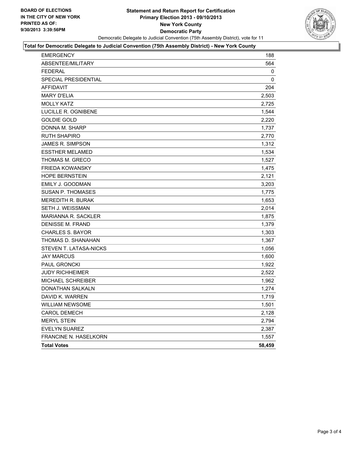

#### **Total for Democratic Delegate to Judicial Convention (75th Assembly District) - New York County**

| <b>EMERGENCY</b>             | 188    |
|------------------------------|--------|
| <b>ABSENTEE/MILITARY</b>     | 564    |
| <b>FEDERAL</b>               | 0      |
| <b>SPECIAL PRESIDENTIAL</b>  | 0      |
| <b>AFFIDAVIT</b>             | 204    |
| <b>MARY D'ELIA</b>           | 2,503  |
| <b>MOLLY KATZ</b>            | 2,725  |
| LUCILLE R. OGNIBENE          | 1,544  |
| <b>GOLDIE GOLD</b>           | 2,220  |
| DONNA M. SHARP               | 1,737  |
| <b>RUTH SHAPIRO</b>          | 2,770  |
| <b>JAMES R. SIMPSON</b>      | 1,312  |
| <b>ESSTHER MELAMED</b>       | 1,534  |
| THOMAS M. GRECO              | 1,527  |
| <b>FRIEDA KOWANSKY</b>       | 1,475  |
| HOPE BERNSTEIN               | 2,121  |
| EMILY J. GOODMAN             | 3,203  |
| SUSAN P. THOMASES            | 1,775  |
| <b>MEREDITH R. BURAK</b>     | 1,653  |
| SETH J. WEISSMAN             | 2,014  |
| <b>MARIANNA R. SACKLER</b>   | 1,875  |
| <b>DENISSE M. FRAND</b>      | 1,379  |
| <b>CHARLES S. BAYOR</b>      | 1,303  |
| THOMAS D. SHANAHAN           | 1,367  |
| STEVEN T. LATASA-NICKS       | 1,056  |
| <b>JAY MARCUS</b>            | 1,600  |
| <b>PAUL GRONCKI</b>          | 1,922  |
| <b>JUDY RICHHEIMER</b>       | 2,522  |
| <b>MICHAEL SCHREIBER</b>     | 1,962  |
| DONATHAN SALKALN             | 1,274  |
| DAVID K. WARREN              | 1,719  |
| <b>WILLIAM NEWSOME</b>       | 1,501  |
| <b>CAROL DEMECH</b>          | 2,128  |
| <b>MERYL STEIN</b>           | 2,794  |
| <b>EVELYN SUAREZ</b>         | 2,387  |
| <b>FRANCINE N. HASELKORN</b> | 1,557  |
| <b>Total Votes</b>           | 58,459 |